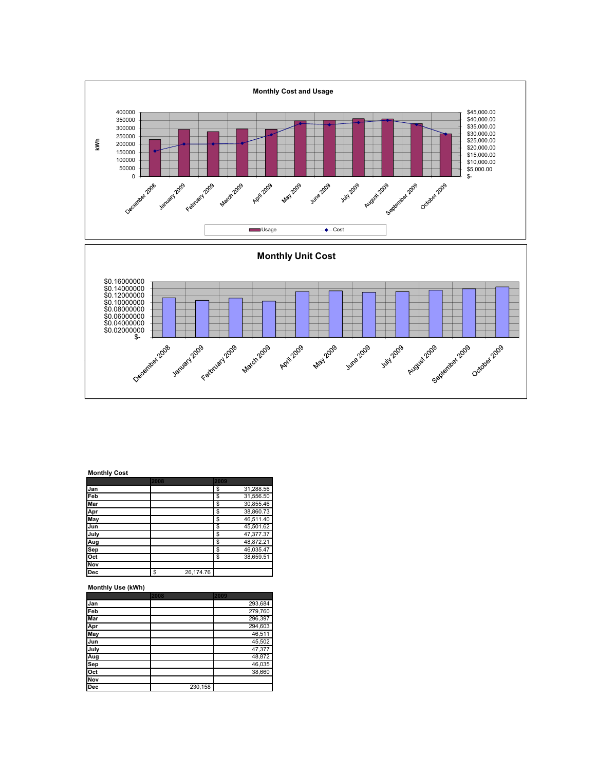

## Monthly Cost

|            | 2008 |           | 2009 |           |
|------------|------|-----------|------|-----------|
| Jan        |      |           | \$   | 31,288.56 |
| Feb        |      |           | \$   | 31,556.50 |
| Mar        |      |           | \$   | 30,855.46 |
| Apr        |      |           | S    | 38,860.73 |
| May        |      |           | \$   | 46,511.40 |
| Jun        |      |           | \$   | 45,501.62 |
| July       |      |           | \$   | 47,377.37 |
| Aug        |      |           | \$   | 48,872.21 |
| Sep        |      |           | S    | 46,035.47 |
| Oct        |      |           | S    | 38.659.51 |
| Nov        |      |           |      |           |
| <b>Dec</b> | \$   | 26,174.76 |      |           |

## Monthly Use (kWh)

|            | 2008    | 2009    |
|------------|---------|---------|
| Jan        |         | 293,684 |
| Feb        |         | 279,760 |
| Mar        |         | 296,397 |
| Apr<br>May |         | 294,603 |
|            |         | 46,511  |
| Jun        |         | 45,502  |
| July       |         | 47,377  |
| Aug        |         | 48,872  |
| Sep<br>Oct |         | 46,035  |
|            |         | 38,660  |
| <b>Nov</b> |         |         |
| <b>Dec</b> | 230,158 |         |